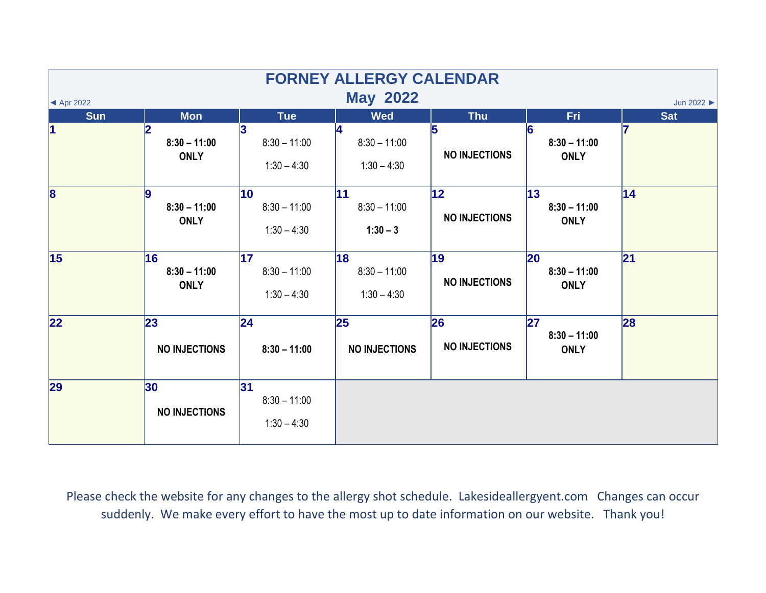|                                                                                    |                                     |                                                 | <b>FORNEY ALLERGY CALENDAR</b>        |                             |                                            |            |  |  |  |  |
|------------------------------------------------------------------------------------|-------------------------------------|-------------------------------------------------|---------------------------------------|-----------------------------|--------------------------------------------|------------|--|--|--|--|
| <b>May 2022</b><br>Jun 2022 $\blacktriangleright$<br>$\blacktriangleleft$ Apr 2022 |                                     |                                                 |                                       |                             |                                            |            |  |  |  |  |
| <b>Sun</b>                                                                         | <b>Mon</b>                          | <b>Tue</b>                                      | <b>Wed</b>                            | <b>Thu</b>                  | Fri                                        | <b>Sat</b> |  |  |  |  |
| $\vert$ 1                                                                          | 2<br>$8:30 - 11:00$<br><b>ONLY</b>  | $8:30 - 11:00$<br>$1:30 - 4:30$                 | 14<br>$8:30 - 11:00$<br>$1:30 - 4:30$ | 5<br><b>NO INJECTIONS</b>   | 16<br>$8:30 - 11:00$<br><b>ONLY</b>        |            |  |  |  |  |
| $\overline{\mathbf{8}}$                                                            | 9<br>$8:30 - 11:00$<br><b>ONLY</b>  | $ 10\rangle$<br>$8:30 - 11:00$<br>$1:30 - 4:30$ | 11<br>$8:30 - 11:00$<br>$1:30 - 3$    | 12 <br><b>NO INJECTIONS</b> | 13 <br>$8:30 - 11:00$<br><b>ONLY</b>       | 14         |  |  |  |  |
| 15                                                                                 | 16<br>$8:30 - 11:00$<br><b>ONLY</b> | 17<br>$8:30 - 11:00$<br>$1:30 - 4:30$           | 18<br>$8:30 - 11:00$<br>$1:30 - 4:30$ | 19<br><b>NO INJECTIONS</b>  | <b>20</b><br>$8:30 - 11:00$<br><b>ONLY</b> | 21         |  |  |  |  |
| $\overline{22}$                                                                    | 23<br><b>NO INJECTIONS</b>          | 24 <br>$8:30 - 11:00$                           | 25<br><b>NO INJECTIONS</b>            | 26<br><b>NO INJECTIONS</b>  | 27<br>$8:30 - 11:00$<br><b>ONLY</b>        | 28         |  |  |  |  |
| 29                                                                                 | 30<br><b>NO INJECTIONS</b>          | 31 <br>$8:30 - 11:00$<br>$1:30 - 4:30$          |                                       |                             |                                            |            |  |  |  |  |

Please check the website for any changes to the allergy shot schedule. Lakesideallergyent.com Changes can occur suddenly. We make every effort to have the most up to date information on our website. Thank you!